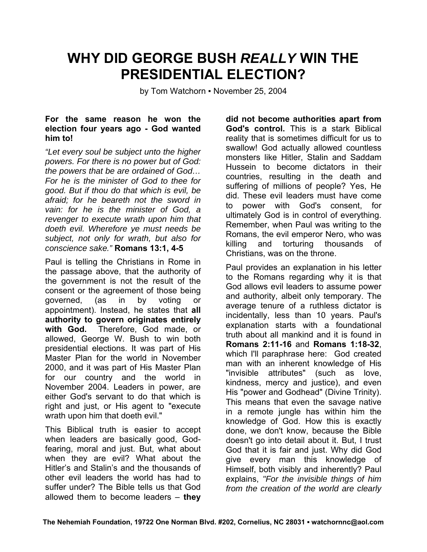## **WHY DID GEORGE BUSH** *REALLY* **WIN THE PRESIDENTIAL ELECTION?**

by Tom Watchorn • November 25, 2004

## **For the same reason he won the election four years ago - God wanted him to!**

*"Let every soul be subject unto the higher powers. For there is no power but of God: the powers that be are ordained of God… For he is the minister of God to thee for good. But if thou do that which is evil, be afraid; for he beareth not the sword in vain: for he is the minister of God, a revenger to execute wrath upon him that doeth evil. Wherefore ye must needs be subject, not only for wrath, but also for conscience sake."* **Romans 13:1, 4-5**

Paul is telling the Christians in Rome in the passage above, that the authority of the government is not the result of the consent or the agreement of those being governed, (as in by voting or appointment). Instead, he states that **all authority to govern originates entirely with God.** Therefore, God made, or allowed, George W. Bush to win both presidential elections. It was part of His Master Plan for the world in November 2000, and it was part of His Master Plan for our country and the world in November 2004. Leaders in power, are either God's servant to do that which is right and just, or His agent to "execute wrath upon him that doeth evil."

This Biblical truth is easier to accept when leaders are basically good, Godfearing, moral and just. But, what about when they are evil? What about the Hitler's and Stalin's and the thousands of other evil leaders the world has had to suffer under? The Bible tells us that God allowed them to become leaders – **they** 

**did not become authorities apart from God's control.** This is a stark Biblical reality that is sometimes difficult for us to swallow! God actually allowed countless monsters like Hitler, Stalin and Saddam Hussein to become dictators in their countries, resulting in the death and suffering of millions of people? Yes, He did. These evil leaders must have come to power with God's consent, for ultimately God is in control of everything. Remember, when Paul was writing to the Romans, the evil emperor Nero, who was killing and torturing thousands of Christians, was on the throne.

Paul provides an explanation in his letter to the Romans regarding why it is that God allows evil leaders to assume power and authority, albeit only temporary. The average tenure of a ruthless dictator is incidentally, less than 10 years. Paul's explanation starts with a foundational truth about all mankind and it is found in **Romans 2:11-16** and **Romans 1:18-32**, which I'll paraphrase here: God created man with an inherent knowledge of His "invisible attributes" (such as love, kindness, mercy and justice), and even His "power and Godhead" (Divine Trinity). This means that even the savage native in a remote jungle has within him the knowledge of God. How this is exactly done, we don't know, because the Bible doesn't go into detail about it. But, I trust God that it is fair and just. Why did God give every man this knowledge of Himself, both visibly and inherently? Paul explains, *"For the invisible things of him from the creation of the world are clearly*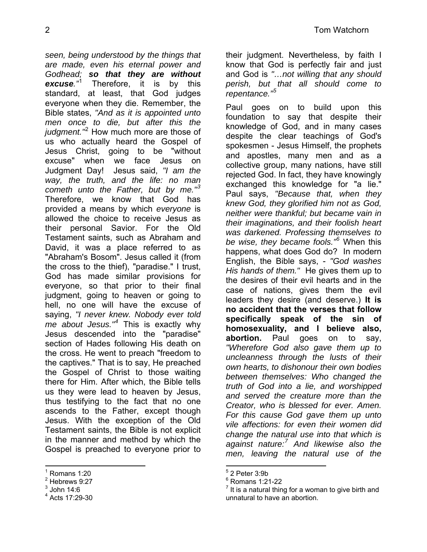*seen, being understood by the things that are made, even his eternal power and Godhead; so that they are without excuse."*[1](#page-1-0) Therefore, it is by this standard, at least, that God judges everyone when they die. Remember, the Bible states, *"And as it is appointed unto men once to die, but after this the judgment."*[2](#page-1-1) How much more are those of us who actually heard the Gospel of Jesus Christ, going to be "without excuse" when we face Jesus on Judgment Day! Jesus said, *"I am the way, the truth, and the life: no man cometh unto the Father, but by me."[3](#page-1-2)* Therefore, we know that God has provided a means by which *everyone* is allowed the choice to receive Jesus as their personal Savior. For the Old Testament saints, such as Abraham and David, it was a place referred to as "Abraham's Bosom". Jesus called it (from the cross to the thief), "paradise." I trust, God has made similar provisions for everyone, so that prior to their final judgment, going to heaven or going to hell, no one will have the excuse of saying, *"I never knew. Nobody ever told me about Jesus."[4](#page-1-3)* This is exactly why Jesus descended into the "paradise" section of Hades following His death on the cross. He went to preach "freedom to the captives." That is to say, He preached the Gospel of Christ to those waiting there for Him. After which, the Bible tells us they were lead to heaven by Jesus, thus testifying to the fact that no one ascends to the Father, except though Jesus. With the exception of the Old Testament saints, the Bible is not explicit in the manner and method by which the Gospel is preached to everyone prior to

their judgment. Nevertheless, by faith I know that God is perfectly fair and just and God is *"…not willing that any should perish, but that all should come to repentance."[5](#page-1-0)*

Paul goes on to build upon this foundation to say that despite their knowledge of God, and in many cases despite the clear teachings of God's spokesmen - Jesus Himself, the prophets and apostles, many men and as a collective group, many nations, have still rejected God. In fact, they have knowingly exchanged this knowledge for "a lie." Paul says, *"Because that, when they knew God, they glorified him not as God, neither were thankful; but became vain in their imaginations, and their foolish heart was darkened. Professing themselves to be wise, they became fools."[6](#page-1-1)* When this happens, what does God do? In modern English, the Bible says, - *"God washes His hands of them."* He gives them up to the desires of their evil hearts and in the case of nations, gives them the evil leaders they desire (and deserve.) **It is no accident that the verses that follow specifically speak of the sin of homosexuality, and I believe also, abortion.** Paul goes on to say, *"Wherefore God also gave them up to uncleanness through the lusts of their own hearts, to dishonour their own bodies between themselves: Who changed the truth of God into a lie, and worshipped and served the creature more than the Creator, who is blessed for ever. Amen. For this cause God gave them up unto vile affections: for even their women did change the natural use into that which is against nature:[7](#page-1-2) And likewise also the men, leaving the natural use of the* 

 <sup>1</sup> Romans 1:20

<span id="page-1-1"></span><span id="page-1-0"></span> $2$  Hebrews 9:27

<span id="page-1-2"></span> $^3$  John 14:6

<span id="page-1-3"></span><sup>4</sup> Acts 17:29-30

 $5$  2 Peter 3:9b

<sup>6</sup> Romans 1:21-22

 $<sup>7</sup>$  It is a natural thing for a woman to give birth and</sup> unnatural to have an abortion.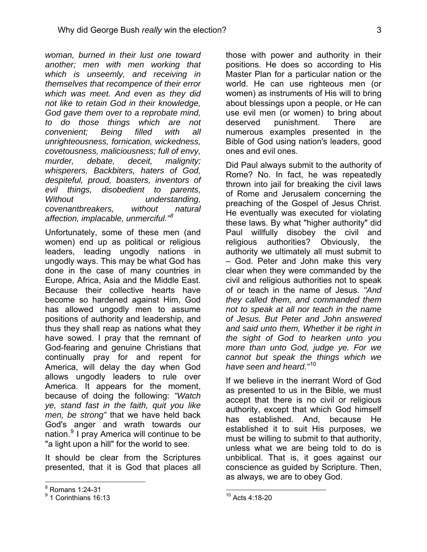*woman, burned in their lust one toward another; men with men working that which is unseemly, and receiving in themselves that recompence of their error which was meet. And even as they did not like to retain God in their knowledge, God gave them over to a reprobate mind, to do those things which are not convenient; Being filled with all unrighteousness, fornication, wickedness, covetousness, maliciousness; full of envy, murder, debate, deceit, malignity; whisperers, Backbiters, haters of God, despiteful, proud, boasters, inventors of evil things, disobedient to parents, Without understanding, covenantbreakers, without natural affection, implacable, unmerciful."[8](#page-2-0)*

Unfortunately, some of these men (and women) end up as political or religious leaders, leading ungodly nations in ungodly ways. This may be what God has done in the case of many countries in Europe, Africa, Asia and the Middle East. Because their collective hearts have become so hardened against Him, God has allowed ungodly men to assume positions of authority and leadership, and thus they shall reap as nations what they have sowed. I pray that the remnant of God-fearing and genuine Christians that continually pray for and repent for America, will delay the day when God allows ungodly leaders to rule over America. It appears for the moment, because of doing the following: *"Watch ye, stand fast in the faith, quit you like men, be strong"* that we have held back God's anger and wrath towards our nation.<sup>[9](#page-2-1)</sup> I pray America will continue to be "a light upon a hill" for the world to see.

It should be clear from the Scriptures presented, that it is God that places all those with power and authority in their positions. He does so according to His Master Plan for a particular nation or the world. He can use righteous men (or women) as instruments of His will to bring about blessings upon a people, or He can use evil men (or women) to bring about deserved punishment. There are numerous examples presented in the Bible of God using nation's leaders, good ones and evil ones.

Did Paul always submit to the authority of Rome? No. In fact, he was repeatedly thrown into jail for breaking the civil laws of Rome and Jerusalem concerning the preaching of the Gospel of Jesus Christ. He eventually was executed for violating these laws. By what "higher authority" did Paul willfully disobey the civil and religious authorities? Obviously, the authority we ultimately all must submit to – God. Peter and John make this very clear when they were commanded by the civil and religious authorities not to speak of or teach in the name of Jesus. *"And they called them, and commanded them not to speak at all nor teach in the name of Jesus. But Peter and John answered and said unto them, Whether it be right in the sight of God to hearken unto you more than unto God, judge ye. For we cannot but speak the things which we have seen and heard."*[10](#page-2-1)

If we believe in the inerrant Word of God as presented to us in the Bible, we must accept that there is no civil or religious authority, except that which God himself has established. And, because He established it to suit His purposes, we must be willing to submit to that authority, unless what we are being told to do is unbiblical. That is, it goes against our conscience as guided by Scripture. Then, as always, we are to obey God.

<span id="page-2-0"></span> <sup>8</sup> Romans 1:24-31

<span id="page-2-1"></span><sup>&</sup>lt;sup>9</sup> 1 Corinthians 16:13

<sup>10</sup> Acts 4:18-20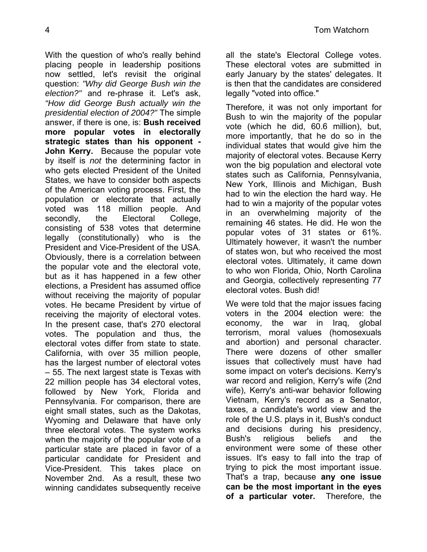With the question of who's really behind placing people in leadership positions now settled, let's revisit the original question: *"Why did George Bush win the election?"* and re-phrase it. Let's ask, *"How did George Bush actually win the presidential election of 2004?"* The simple answer, if there is one, is: **Bush received more popular votes in electorally strategic states than his opponent - John Kerry.** Because the popular vote by itself is *not* the determining factor in who gets elected President of the United States, we have to consider both aspects of the American voting process. First, the population or electorate that actually voted was 118 million people. And secondly, the Electoral College, consisting of 538 votes that determine legally (constitutionally) who is the President and Vice-President of the USA. Obviously, there is a correlation between the popular vote and the electoral vote, but as it has happened in a few other elections, a President has assumed office without receiving the majority of popular votes. He became President by virtue of receiving the majority of electoral votes. In the present case, that's 270 electoral votes. The population and thus, the electoral votes differ from state to state. California, with over 35 million people, has the largest number of electoral votes – 55. The next largest state is Texas with 22 million people has 34 electoral votes, followed by New York, Florida and Pennsylvania. For comparison, there are eight small states, such as the Dakotas, Wyoming and Delaware that have only three electoral votes. The system works when the majority of the popular vote of a particular state are placed in favor of a particular candidate for President and Vice-President. This takes place on November 2nd. As a result, these two winning candidates subsequently receive

all the state's Electoral College votes. These electoral votes are submitted in early January by the states' delegates. It is then that the candidates are considered legally "voted into office."

Therefore, it was not only important for Bush to win the majority of the popular vote (which he did, 60.6 million), but, more importantly, that he do so in the individual states that would give him the majority of electoral votes. Because Kerry won the big population and electoral vote states such as California, Pennsylvania, New York, Illinois and Michigan, Bush had to win the election the hard way. He had to win a majority of the popular votes in an overwhelming majority of the remaining 46 states. He did. He won the popular votes of 31 states or 61%. Ultimately however, it wasn't the number of states won, but who received the most electoral votes. Ultimately, it came down to who won Florida, Ohio, North Carolina and Georgia, collectively representing 77 electoral votes. Bush did!

We were told that the major issues facing voters in the 2004 election were: the economy, the war in Iraq, global terrorism, moral values (homosexuals and abortion) and personal character. There were dozens of other smaller issues that collectively must have had some impact on voter's decisions. Kerry's war record and religion, Kerry's wife (2nd wife), Kerry's anti-war behavior following Vietnam, Kerry's record as a Senator, taxes, a candidate's world view and the role of the U.S. plays in it, Bush's conduct and decisions during his presidency, Bush's religious beliefs and the environment were some of these other issues. It's easy to fall into the trap of trying to pick the most important issue. That's a trap, because **any one issue can be the most important in the eyes of a particular voter.** Therefore, the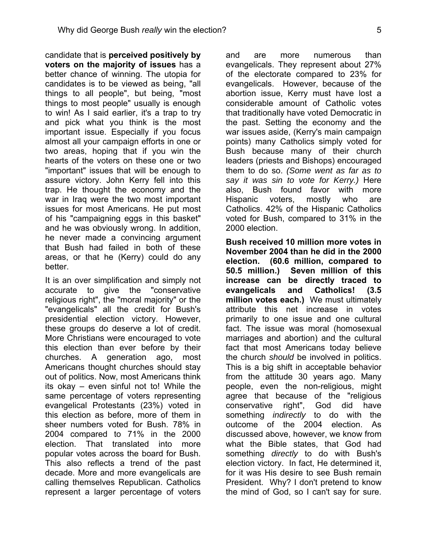candidate that is **perceived positively by voters on the majority of issues** has a better chance of winning. The utopia for candidates is to be viewed as being, "all things to all people", but being, "most things to most people" usually is enough to win! As I said earlier, it's a trap to try and pick what you think is the most important issue. Especially if you focus almost all your campaign efforts in one or two areas, hoping that if you win the hearts of the voters on these one or two "important" issues that will be enough to assure victory. John Kerry fell into this trap. He thought the economy and the war in Iraq were the two most important issues for most Americans. He put most of his "campaigning eggs in this basket" and he was obviously wrong. In addition, he never made a convincing argument that Bush had failed in both of these areas, or that he (Kerry) could do any better.

It is an over simplification and simply not accurate to give the "conservative religious right", the "moral majority" or the "evangelicals" all the credit for Bush's presidential election victory. However, these groups do deserve a lot of credit. More Christians were encouraged to vote this election than ever before by their churches. A generation ago, most Americans thought churches should stay out of politics. Now, most Americans think its okay – even sinful not to! While the same percentage of voters representing evangelical Protestants (23%) voted in this election as before, more of them in sheer numbers voted for Bush. 78% in 2004 compared to 71% in the 2000 election. That translated into more popular votes across the board for Bush. This also reflects a trend of the past decade. More and more evangelicals are calling themselves Republican. Catholics represent a larger percentage of voters

and are more numerous than evangelicals. They represent about 27% of the electorate compared to 23% for evangelicals. However, because of the abortion issue, Kerry must have lost a considerable amount of Catholic votes that traditionally have voted Democratic in the past. Setting the economy and the war issues aside, (Kerry's main campaign points) many Catholics simply voted for Bush because many of their church leaders (priests and Bishops) encouraged them to do so. *(Some went as far as to say it was sin to vote for Kerry.)* Here also, Bush found favor with more Hispanic voters, mostly who are Catholics. 42% of the Hispanic Catholics voted for Bush, compared to 31% in the 2000 election.

**Bush received 10 million more votes in November 2004 than he did in the 2000 election. (60.6 million, compared to 50.5 million.) Seven million of this increase can be directly traced to evangelicals and Catholics! (3.5 million votes each.)** We must ultimately attribute this net increase in votes primarily to one issue and one cultural fact. The issue was moral (homosexual marriages and abortion) and the cultural fact that most Americans today believe the church *should* be involved in politics. This is a big shift in acceptable behavior from the attitude 30 years ago. Many people, even the non-religious, might agree that because of the "religious conservative right", God did have something *indirectly* to do with the outcome of the 2004 election. As discussed above, however, we know from what the Bible states, that God had something *directly* to do with Bush's election victory. In fact, He determined it, for it was His desire to see Bush remain President. Why? I don't pretend to know the mind of God, so I can't say for sure.